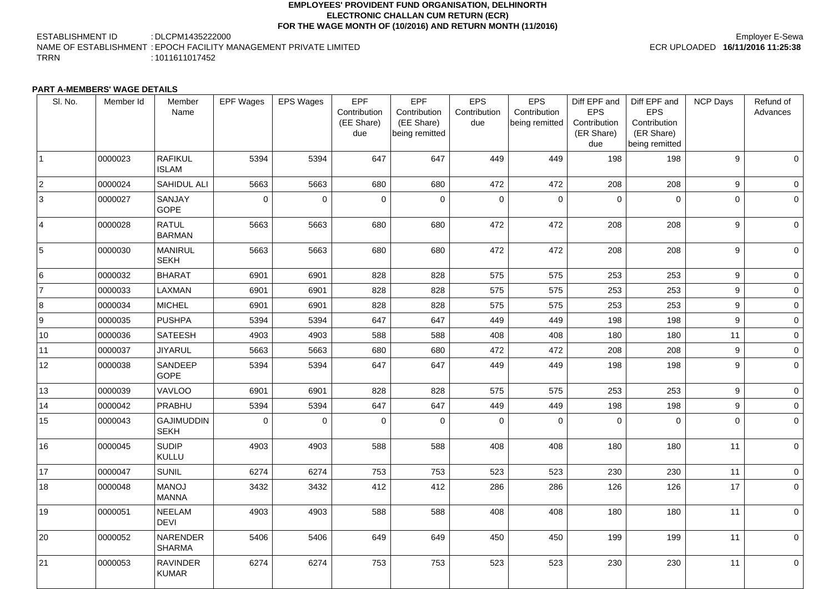### **EMPLOYEES' PROVIDENT FUND ORGANISATION, DELHINORTH ELECTRONIC CHALLAN CUM RETURN (ECR) FOR THE WAGE MONTH OF (10/2016) AND RETURN MONTH (11/2016)**

ESTABLISHMENT ID : DLCPM1435222000 NAME OF ESTABLISHMENT : EPOCH FACILITY MANAGEMENT PRIVATE LIMITED TRRN : 1011611017452

## Employer E-Sewa ECR UPLOADED **16/11/2016 11:25:38**

### **PART A-MEMBERS' WAGE DETAILS**

| SI. No.         | Member Id | Member<br>Name                   | <b>EPF Wages</b> | <b>EPS Wages</b> | <b>EPF</b><br>Contribution<br>(EE Share)<br>due | <b>EPF</b><br>Contribution<br>(EE Share)<br>being remitted | <b>EPS</b><br>Contribution<br>due | <b>EPS</b><br>Contribution<br>being remitted | Diff EPF and<br><b>EPS</b><br>Contribution<br>(ER Share)<br>due | Diff EPF and<br><b>EPS</b><br>Contribution<br>(ER Share)<br>being remitted | <b>NCP Days</b> | Refund of<br>Advances |
|-----------------|-----------|----------------------------------|------------------|------------------|-------------------------------------------------|------------------------------------------------------------|-----------------------------------|----------------------------------------------|-----------------------------------------------------------------|----------------------------------------------------------------------------|-----------------|-----------------------|
|                 | 0000023   | <b>RAFIKUL</b><br><b>ISLAM</b>   | 5394             | 5394             | 647                                             | 647                                                        | 449                               | 449                                          | 198                                                             | 198                                                                        | 9               | $\overline{0}$        |
| $ 2\rangle$     | 0000024   | <b>SAHIDUL ALI</b>               | 5663             | 5663             | 680                                             | 680                                                        | 472                               | 472                                          | 208                                                             | 208                                                                        | 9               | $\overline{0}$        |
| 3               | 0000027   | <b>SANJAY</b><br><b>GOPE</b>     | 0                | $\overline{0}$   | $\overline{0}$                                  | $\overline{0}$                                             | $\overline{0}$                    | $\mathbf 0$                                  | $\mathbf 0$                                                     | $\mathbf 0$                                                                | $\overline{0}$  | $\overline{0}$        |
| $\vert 4 \vert$ | 0000028   | <b>RATUL</b><br><b>BARMAN</b>    | 5663             | 5663             | 680                                             | 680                                                        | 472                               | 472                                          | 208                                                             | 208                                                                        | 9               | $\overline{0}$        |
| 5               | 0000030   | <b>MANIRUL</b><br><b>SEKH</b>    | 5663             | 5663             | 680                                             | 680                                                        | 472                               | 472                                          | 208                                                             | 208                                                                        | 9               | $\overline{0}$        |
| 16              | 0000032   | <b>BHARAT</b>                    | 6901             | 6901             | 828                                             | 828                                                        | 575                               | 575                                          | 253                                                             | 253                                                                        | 9               | $\overline{0}$        |
|                 | 0000033   | <b>LAXMAN</b>                    | 6901             | 6901             | 828                                             | 828                                                        | 575                               | 575                                          | 253                                                             | 253                                                                        | 9               | $\overline{0}$        |
| 8               | 0000034   | <b>MICHEL</b>                    | 6901             | 6901             | 828                                             | 828                                                        | 575                               | 575                                          | 253                                                             | 253                                                                        | 9               | $\overline{0}$        |
| <u>g</u>        | 0000035   | <b>PUSHPA</b>                    | 5394             | 5394             | 647                                             | 647                                                        | 449                               | 449                                          | 198                                                             | 198                                                                        | 9               | $\overline{0}$        |
| 10              | 0000036   | <b>SATEESH</b>                   | 4903             | 4903             | 588                                             | 588                                                        | 408                               | 408                                          | 180                                                             | 180                                                                        | 11              | $\overline{0}$        |
| 11              | 0000037   | <b>JIYARUL</b>                   | 5663             | 5663             | 680                                             | 680                                                        | 472                               | 472                                          | 208                                                             | 208                                                                        | 9               | $\overline{0}$        |
| 12              | 0000038   | <b>SANDEEP</b><br><b>GOPE</b>    | 5394             | 5394             | 647                                             | 647                                                        | 449                               | 449                                          | 198                                                             | 198                                                                        | 9               | $\overline{0}$        |
| 13              | 0000039   | <b>VAVLOO</b>                    | 6901             | 6901             | 828                                             | 828                                                        | 575                               | 575                                          | 253                                                             | 253                                                                        | 9               | $\overline{0}$        |
| 14              | 0000042   | PRABHU                           | 5394             | 5394             | 647                                             | 647                                                        | 449                               | 449                                          | 198                                                             | 198                                                                        | 9               | $\overline{0}$        |
| 15              | 0000043   | <b>GAJIMUDDIN</b><br><b>SEKH</b> | 0                | $\overline{0}$   | 0                                               | $\overline{0}$                                             | $\overline{0}$                    | $\overline{0}$                               | $\overline{0}$                                                  | $\mathbf 0$                                                                | $\overline{0}$  | $\overline{0}$        |
| 16              | 0000045   | <b>SUDIP</b><br><b>KULLU</b>     | 4903             | 4903             | 588                                             | 588                                                        | 408                               | 408                                          | 180                                                             | 180                                                                        | 11              | $\overline{0}$        |
| 17              | 0000047   | <b>SUNIL</b>                     | 6274             | 6274             | 753                                             | 753                                                        | 523                               | 523                                          | 230                                                             | 230                                                                        | 11              | $\overline{0}$        |
| 18              | 0000048   | <b>MANOJ</b><br><b>MANNA</b>     | 3432             | 3432             | 412                                             | 412                                                        | 286                               | 286                                          | 126                                                             | 126                                                                        | 17              | 0 <sup>1</sup>        |
| 19              | 0000051   | <b>NEELAM</b><br><b>DEVI</b>     | 4903             | 4903             | 588                                             | 588                                                        | 408                               | 408                                          | 180                                                             | 180                                                                        | 11              | $\overline{0}$        |
| 20              | 0000052   | <b>NARENDER</b><br><b>SHARMA</b> | 5406             | 5406             | 649                                             | 649                                                        | 450                               | 450                                          | 199                                                             | 199                                                                        | 11              | 0 <sup>1</sup>        |
| 21              | 0000053   | <b>RAVINDER</b><br><b>KUMAR</b>  | 6274             | 6274             | 753                                             | 753                                                        | 523                               | 523                                          | 230                                                             | 230                                                                        | 11              | 0 <sup>1</sup>        |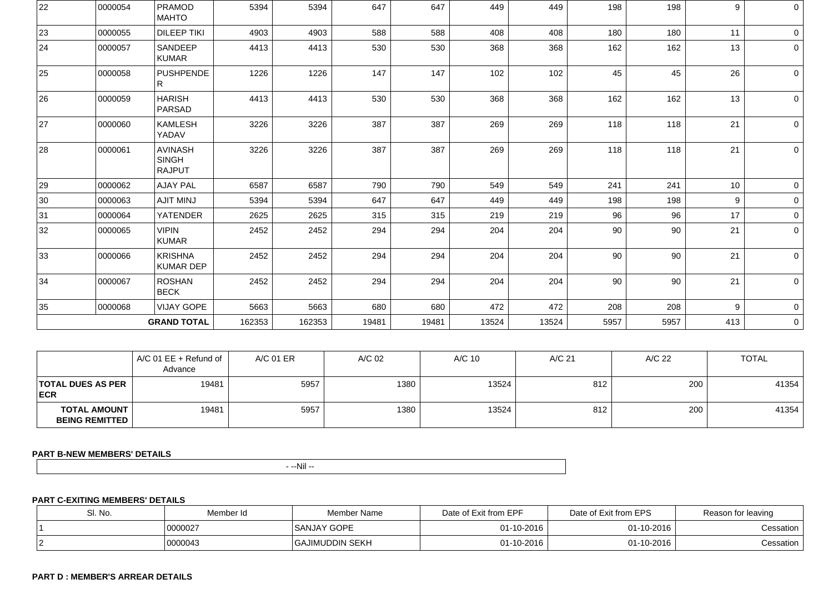| 22           | 0000054 | <b>PRAMOD</b><br><b>MAHTO</b>                   | 5394   | 5394   | 647   | 647   | 449   | 449   | 198  | 198  | 9   | 0 <sup>1</sup> |
|--------------|---------|-------------------------------------------------|--------|--------|-------|-------|-------|-------|------|------|-----|----------------|
| 23           | 0000055 | <b>DILEEP TIKI</b>                              | 4903   | 4903   | 588   | 588   | 408   | 408   | 180  | 180  | 11  | $\overline{0}$ |
| 24           | 0000057 | <b>SANDEEP</b><br><b>KUMAR</b>                  | 4413   | 4413   | 530   | 530   | 368   | 368   | 162  | 162  | 13  | $\circ$        |
| 25           | 0000058 | <b>PUSHPENDE</b><br>R.                          | 1226   | 1226   | 147   | 147   | 102   | 102   | 45   | 45   | 26  | $\overline{0}$ |
| 26           | 0000059 | <b>HARISH</b><br><b>PARSAD</b>                  | 4413   | 4413   | 530   | 530   | 368   | 368   | 162  | 162  | 13  | $\overline{0}$ |
| 27           | 0000060 | <b>KAMLESH</b><br>YADAV                         | 3226   | 3226   | 387   | 387   | 269   | 269   | 118  | 118  | 21  | $\overline{0}$ |
| 28           | 0000061 | <b>AVINASH</b><br><b>SINGH</b><br><b>RAJPUT</b> | 3226   | 3226   | 387   | 387   | 269   | 269   | 118  | 118  | 21  | $\overline{0}$ |
| 29           | 0000062 | <b>AJAY PAL</b>                                 | 6587   | 6587   | 790   | 790   | 549   | 549   | 241  | 241  | 10  | $\overline{0}$ |
| 30           | 0000063 | <b>AJIT MINJ</b>                                | 5394   | 5394   | 647   | 647   | 449   | 449   | 198  | 198  | 9   | $\circ$        |
| 31           | 0000064 | <b>YATENDER</b>                                 | 2625   | 2625   | 315   | 315   | 219   | 219   | 96   | 96   | 17  | $\circ$        |
| 32           | 0000065 | <b>VIPIN</b><br><b>KUMAR</b>                    | 2452   | 2452   | 294   | 294   | 204   | 204   | 90   | 90   | 21  | $\overline{0}$ |
| $ 33\rangle$ | 0000066 | <b>KRISHNA</b><br><b>KUMAR DEP</b>              | 2452   | 2452   | 294   | 294   | 204   | 204   | 90   | 90   | 21  | $\overline{0}$ |
| 34           | 0000067 | <b>ROSHAN</b><br><b>BECK</b>                    | 2452   | 2452   | 294   | 294   | 204   | 204   | 90   | 90   | 21  | $\overline{0}$ |
| 35           | 0000068 | <b>VIJAY GOPE</b>                               | 5663   | 5663   | 680   | 680   | 472   | 472   | 208  | 208  | 9   | $\circ$        |
|              |         | <b>GRAND TOTAL</b>                              | 162353 | 162353 | 19481 | 19481 | 13524 | 13524 | 5957 | 5957 | 413 | $\overline{0}$ |

|                                                | $AC$ 01 EE + Refund of<br>Advance | A/C 01 ER | A/C 02 | A/C 10 | A/C 21 | A/C 22 | <b>TOTAL</b> |
|------------------------------------------------|-----------------------------------|-----------|--------|--------|--------|--------|--------------|
| <b>TOTAL DUES AS PER</b><br><b>ECR</b>         | 19481                             | 5957      | 1380   | 13524  | 812    | 200    | 41354        |
| <b>TOTAL AMOUNT  </b><br><b>BEING REMITTED</b> | 19481                             | 5957      | 1380   | 13524  | 812    | 200    | 41354        |

# **PART B-NEW MEMBERS' DETAILS**

- --Nil --

## **PART C-EXITING MEMBERS' DETAILS**

| SI. No. | Member Id | Member Name          | Date of Exit from EPF | Date of Exit from EPS | Reason for leaving |
|---------|-----------|----------------------|-----------------------|-----------------------|--------------------|
|         | 0000027   | <b>SANJAY GOPE</b>   | $01 - 10 - 2016$      | 01-10-2016            | Cessation          |
| ╶       | 0000043   | <b>JIMUDDIN SEKH</b> | $01 - 10 - 2016$      | 01-10-2016            | Cessation          |

## **PART D : MEMBER'S ARREAR DETAILS**